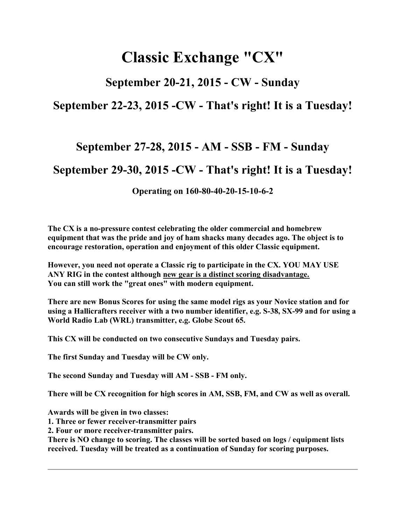# Classic Exchange "CX"

## September 20-21, 2015 - CW - Sunday

### September 22-23, 2015 -CW - That's right! It is a Tuesday!

# September 27-28, 2015 - AM - SSB - FM - Sunday

# September 29-30, 2015 -CW - That's right! It is a Tuesday!

Operating on 160-80-40-20-15-10-6-2

The CX is a no-pressure contest celebrating the older commercial and homebrew equipment that was the pride and joy of ham shacks many decades ago. The object is to encourage restoration, operation and enjoyment of this older Classic equipment.

However, you need not operate a Classic rig to participate in the CX. YOU MAY USE ANY RIG in the contest although new gear is a distinct scoring disadvantage. You can still work the "great ones" with modern equipment.

There are new Bonus Scores for using the same model rigs as your Novice station and for using a Hallicrafters receiver with a two number identifier, e.g. S-38, SX-99 and for using a World Radio Lab (WRL) transmitter, e.g. Globe Scout 65.

This CX will be conducted on two consecutive Sundays and Tuesday pairs.

The first Sunday and Tuesday will be CW only.

The second Sunday and Tuesday will AM - SSB - FM only.

There will be CX recognition for high scores in AM, SSB, FM, and CW as well as overall.

Awards will be given in two classes:

1. Three or fewer receiver-transmitter pairs

2. Four or more receiver-transmitter pairs.

There is NO change to scoring. The classes will be sorted based on logs / equipment lists received. Tuesday will be treated as a continuation of Sunday for scoring purposes.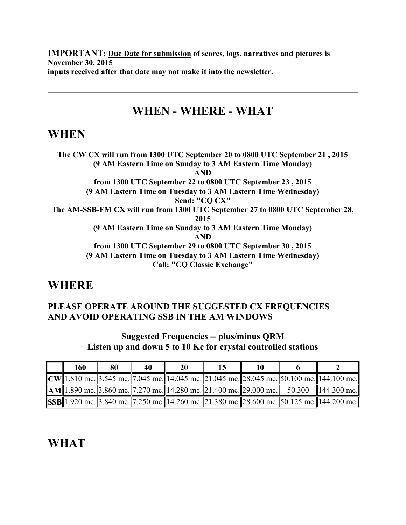IMPORTANT: Due Date for submission of scores, logs, narratives and pictures is November 30, 2015 inputs received after that date may not make it into the newsletter.

# WHEN - WHERE - WHAT

### WHEN

The CW CX will run from 1300 UTC September 20 to 0800 UTC September 21 , 2015 (9 AM Eastern Time on Sunday to 3 AM Eastern Time Monday) AND from 1300 UTC September 22 to 0800 UTC September 23 , 2015 (9 AM Eastern Time on Tuesday to 3 AM Eastern Time Wednesday) Send: "CQ CX" The AM-SSB-FM CX will run from 1300 UTC September 27 to 0800 UTC September 28, 2015 (9 AM Eastern Time on Sunday to 3 AM Eastern Time Monday) AND from 1300 UTC September 29 to 0800 UTC September 30 , 2015 (9 AM Eastern Time on Tuesday to 3 AM Eastern Time Wednesday) Call: "CQ Classic Exchange"

### **WHERE**

#### PLEASE OPERATE AROUND THE SUGGESTED CX FREQUENCIES AND AVOID OPERATING SSB IN THE AM WINDOWS

#### Suggested Frequencies -- plus/minus QRM Listen up and down 5 to 10 Kc for crystal controlled stations

| 160 | 80 | 40 | 20 |  |                                                                                                   |
|-----|----|----|----|--|---------------------------------------------------------------------------------------------------|
|     |    |    |    |  | $\ CW\ $ 1.810 mc. 3.545 mc. 7.045 mc. 14.045 mc. 21.045 mc. 28.045 mc. 50.100 mc. 144.100 mc.    |
|     |    |    |    |  | $\ AM\ 1.890$ mc. 3.860 mc. 7.270 mc. 14.280 mc. 21.400 mc. 29.000 mc. 50.300 144.300 mc.         |
|     |    |    |    |  | SSB  1.920 mc.  3.840 mc.  7.250 mc.  14.260 mc.  21.380 mc.  28.600 mc.  50.125 mc.  144.200 mc. |

# WHAT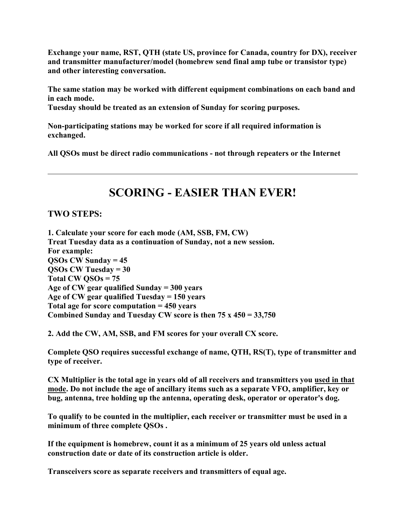Exchange your name, RST, QTH (state US, province for Canada, country for DX), receiver and transmitter manufacturer/model (homebrew send final amp tube or transistor type) and other interesting conversation.

The same station may be worked with different equipment combinations on each band and in each mode.

Tuesday should be treated as an extension of Sunday for scoring purposes.

Non-participating stations may be worked for score if all required information is exchanged.

All QSOs must be direct radio communications - not through repeaters or the Internet

# SCORING - EASIER THAN EVER!

#### TWO STEPS:

1. Calculate your score for each mode (AM, SSB, FM, CW) Treat Tuesday data as a continuation of Sunday, not a new session. For example:  $OSOs CW Sunday = 45$ QSOs CW Tuesday = 30 Total CW QSOs = 75 Age of CW gear qualified Sunday = 300 years Age of CW gear qualified Tuesday  $= 150$  years Total age for score computation  $= 450$  years Combined Sunday and Tuesday CW score is then  $75 \times 450 = 33,750$ 

2. Add the CW, AM, SSB, and FM scores for your overall CX score.

Complete QSO requires successful exchange of name, QTH, RS(T), type of transmitter and type of receiver.

CX Multiplier is the total age in years old of all receivers and transmitters you used in that mode. Do not include the age of ancillary items such as a separate VFO, amplifier, key or bug, antenna, tree holding up the antenna, operating desk, operator or operator's dog.

To qualify to be counted in the multiplier, each receiver or transmitter must be used in a minimum of three complete QSOs .

If the equipment is homebrew, count it as a minimum of 25 years old unless actual construction date or date of its construction article is older.

Transceivers score as separate receivers and transmitters of equal age.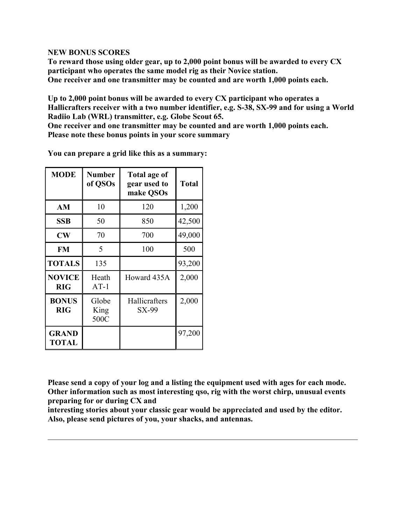#### NEW BONUS SCORES

To reward those using older gear, up to 2,000 point bonus will be awarded to every CX participant who operates the same model rig as their Novice station. One receiver and one transmitter may be counted and are worth 1,000 points each.

Up to 2,000 point bonus will be awarded to every CX participant who operates a Hallicrafters receiver with a two number identifier, e.g. S-38, SX-99 and for using a World Radiio Lab (WRL) transmitter, e.g. Globe Scout 65.

One receiver and one transmitter may be counted and are worth 1,000 points each. Please note these bonus points in your score summary

| <b>MODE</b>                  | <b>Number</b><br>of QSOs | Total age of<br>gear used to<br>make QSOs | <b>Total</b> |
|------------------------------|--------------------------|-------------------------------------------|--------------|
| AM                           | 10                       | 120                                       | 1,200        |
| SSB                          | 50                       | 850                                       | 42,500       |
| $\mathbf{CW}$                | 70                       | 700                                       | 49,000       |
| <b>FM</b>                    | 5                        | 100                                       | 500          |
| <b>TOTALS</b>                | 135                      |                                           | 93,200       |
| <b>NOVICE</b><br><b>RIG</b>  | Heath<br>$AT-1$          | Howard 435A                               | 2,000        |
| <b>BONUS</b><br><b>RIG</b>   | Globe<br>King<br>500C    | Hallicrafters<br>SX-99                    | 2,000        |
| <b>GRAND</b><br><b>TOTAL</b> |                          |                                           | 97,200       |

You can prepare a grid like this as a summary:

Please send a copy of your log and a listing the equipment used with ages for each mode. Other information such as most interesting qso, rig with the worst chirp, unusual events preparing for or during CX and

interesting stories about your classic gear would be appreciated and used by the editor. Also, please send pictures of you, your shacks, and antennas.